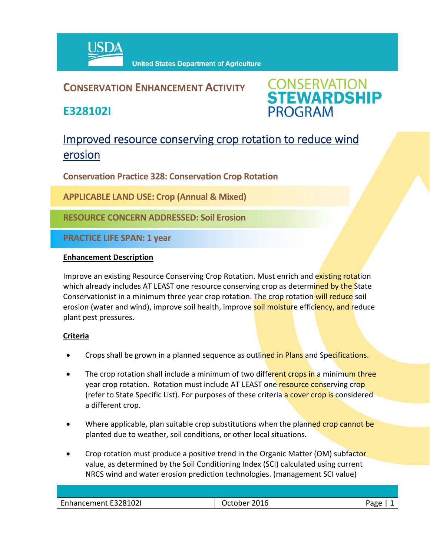

## **CONSERVATION ENHANCEMENT ACTIVITY**

**E328102I**

**CONSERVATION<br>STEWARDSHIP PROGRAM** 

# Improved resource conserving crop rotation to reduce wind erosion

**Conservation Practice 328: Conservation Crop Rotation**

**APPLICABLE LAND USE: Crop (Annual & Mixed)**

**RESOURCE CONCERN ADDRESSED: Soil Erosion**

**PRACTICE LIFE SPAN: 1 year**

#### **Enhancement Description**

Improve an existing Resource Conserving Crop Rotation. Must enrich and existing rotation which already includes AT LEAST one resource conserving crop as determined by the State Conservationist in a minimum three year crop rotation. The crop rotation will reduce soil erosion (water and wind), improve soil health, improve soil moisture efficiency, and reduce plant pest pressures.

### **Criteria**

- Crops shall be grown in a planned sequence as outlined in Plans and Specifications.
- The crop rotation shall include a minimum of two different crops in a minimum three year crop rotation. Rotation must include AT LEAST one resource conserving crop (refer to State Specific List). For purposes of these criteria a cover crop is considered a different crop.
- Where applicable, plan suitable crop substitutions when the planned crop cannot be planted due to weather, soil conditions, or other local situations.
- Crop rotation must produce a positive trend in the Organic Matter (OM) subfactor value, as determined by the Soil Conditioning Index (SCI) calculated using current NRCS wind and water erosion prediction technologies. (management SCI value)

| Enhancement E328102I | 2016<br>Jctober |  |
|----------------------|-----------------|--|
|                      |                 |  |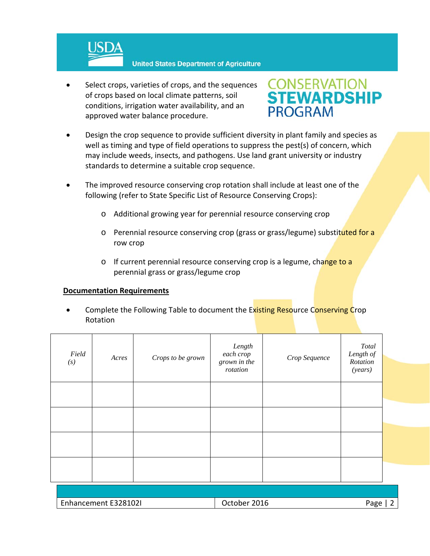

 Select crops, varieties of crops, and the sequences of crops based on local climate patterns, soil conditions, irrigation water availability, and an approved water balance procedure.



- Design the crop sequence to provide sufficient diversity in plant family and species as well as timing and type of field operations to suppress the pest(s) of concern, which may include weeds, insects, and pathogens. Use land grant university or industry standards to determine a suitable crop sequence.
- The improved resource conserving crop rotation shall include at least one of the following (refer to State Specific List of Resource Conserving Crops):
	- o Additional growing year for perennial resource conserving crop
	- o Perennial resource conserving crop (grass or grass/legume) substituted for a row crop
	- o If current perennial resource conserving crop is a legume, change to a perennial grass or grass/legume crop

#### **Documentation Requirements**

Complete the Following Table to document the Existing Resource Conserving Crop Rotation

| Field<br>(s) | Acres | Crops to be grown | Length<br>each crop<br>grown in the<br>rotation | Crop Sequence | Total<br>Length of<br>Rotation<br>(years) |  |
|--------------|-------|-------------------|-------------------------------------------------|---------------|-------------------------------------------|--|
|              |       |                   |                                                 |               |                                           |  |
|              |       |                   |                                                 |               |                                           |  |
|              |       |                   |                                                 |               |                                           |  |
|              |       |                   |                                                 |               |                                           |  |

| Enhancement E328102I | 2016<br>Jctober | חסבי |
|----------------------|-----------------|------|